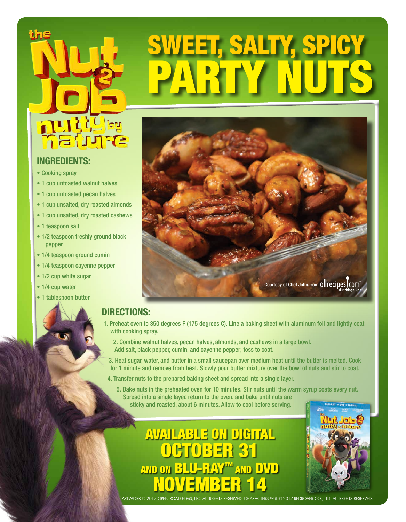

### **INGREDIENTS:**

- Cooking spray
- 1 cup untoasted walnut halves
- 1 cup untoasted pecan halves
- 1 cup unsalted, dry roasted almonds
- 1 cup unsalted, dry roasted cashews
- 1 teaspoon salt
- 1/2 teaspoon freshly ground black pepper
- 1/4 teaspoon ground cumin
- 1/4 teaspoon cayenne pepper
- 1/2 cup white sugar
- 1/4 cup water
- 1 tablespoon butter



ET, SALTY, SPIC

# **DIRECTIONS:**

- 1. Preheat oven to 350 degrees F (175 degrees C). Line a baking sheet with aluminum foil and lightly coat with cooking spray.
	- 2. Combine walnut halves, pecan halves, almonds, and cashews in a large bowl. Add salt, black pepper, cumin, and cayenne pepper; toss to coat.
	- 3. Heat sugar, water, and butter in a small saucepan over medium heat until the butter is melted. Cook for 1 minute and remove from heat. Slowly pour butter mixture over the bowl of nuts and stir to coat.
- 4. Transfer nuts to the prepared baking sheet and spread into a single layer.
	- 5. Bake nuts in the preheated oven for 10 minutes. Stir nuts until the warm syrup coats every nut. Spread into a single layer, return to the oven, and bake until nuts are sticky and roasted, about 6 minutes. Allow to cool before serving.

AVAILABLE ON DIGITAL OCTOBER 31 AND ON BLU-RAY™ AND DVD NOVEMBER 14



ARTWORK © 2017 OPEN ROAD FILMS, LLC. ALL RIGHTS RESERVED. CHARACTERS ™ & © 2017 REDROVER CO., LTD. ALL RIGHTS RESERVED.